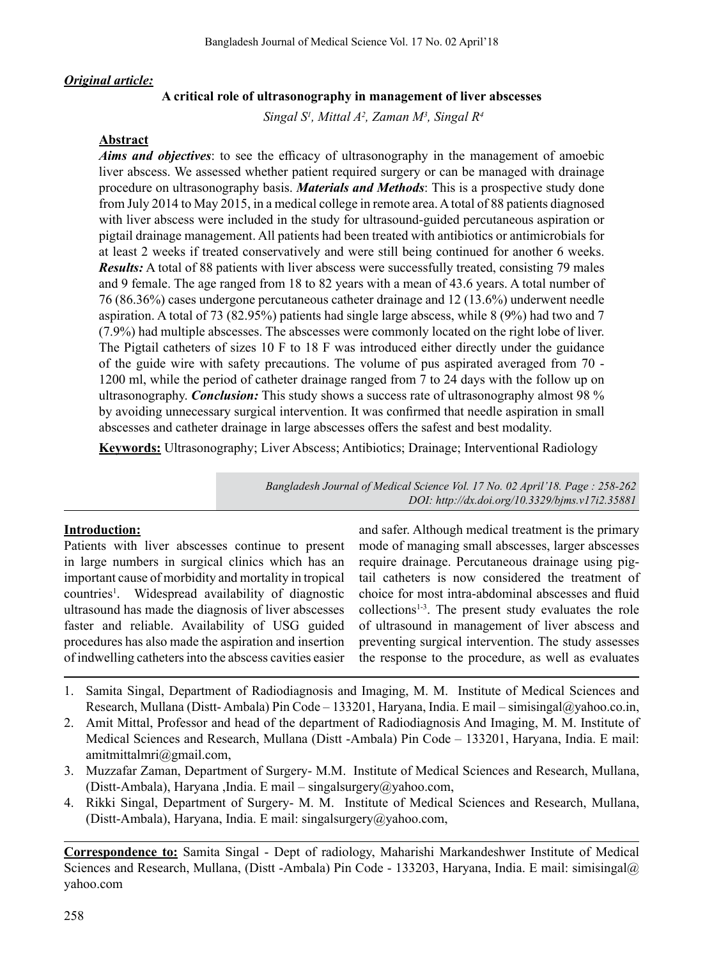## *Original article:*

## **A critical role of ultrasonography in management of liver abscesses**

*Singal S1 , Mittal A2 , Zaman M3 , Singal R4*

#### **Abstract**

*Aims and objectives*: to see the efficacy of ultrasonography in the management of amoebic liver abscess. We assessed whether patient required surgery or can be managed with drainage procedure on ultrasonography basis. *Materials and Methods*: This is a prospective study done from July 2014 to May 2015, in a medical college in remote area.Atotal of 88 patients diagnosed with liver abscess were included in the study for ultrasound-guided percutaneous aspiration or pigtail drainage management. All patients had been treated with antibiotics or antimicrobials for at least 2 weeks if treated conservatively and were still being continued for another 6 weeks. *Results:* A total of 88 patients with liver abscess were successfully treated, consisting 79 males and 9 female. The age ranged from 18 to 82 years with a mean of 43.6 years. A total number of 76 (86.36%) cases undergone percutaneous catheter drainage and 12 (13.6%) underwent needle aspiration. A total of 73 (82.95%) patients had single large abscess, while 8 (9%) had two and 7 (7.9%) had multiple abscesses. The abscesses were commonly located on the right lobe of liver. The Pigtail catheters of sizes 10 F to 18 F was introduced either directly under the guidance of the guide wire with safety precautions. The volume of pus aspirated averaged from 70 - 1200 ml, while the period of catheter drainage ranged from 7 to 24 days with the follow up on ultrasonography. *Conclusion:* This study shows a success rate of ultrasonography almost 98 % by avoiding unnecessary surgical intervention. It was confirmed that needle aspiration in small abscesses and catheter drainage in large abscesses offers the safest and best modality.

**Keywords:** Ultrasonography; Liver Abscess; Antibiotics; Drainage; Interventional Radiology

*Bangladesh Journal of Medical Science Vol. 17 No. 02 April'18. Page : 258-262 DOI: http://dx.doi.org/10.3329/bjms.v17i2.35881* 

## **Introduction:**

Patients with liver abscesses continue to present in large numbers in surgical clinics which has an important cause of morbidity and mortality in tropical countries<sup>1</sup>. Widespread availability of diagnostic ultrasound has made the diagnosis of liver abscesses faster and reliable. Availability of USG guided procedures has also made the aspiration and insertion of indwelling cathetersinto the abscess cavities easier

and safer. Although medical treatment is the primary mode of managing small abscesses, larger abscesses require drainage. Percutaneous drainage using pigtail catheters is now considered the treatment of choice for most intra-abdominal abscesses and fluid  $collections<sup>1-3</sup>$ . The present study evaluates the role of ultrasound in management of liver abscess and preventing surgical intervention. The study assesses the response to the procedure, as well as evaluates

- 1. Samita Singal, Department of Radiodiagnosis and Imaging, M. M. Institute of Medical Sciences and Research, Mullana (Distt- Ambala) Pin Code – 133201, Haryana, India. E mail – simisingal@yahoo.co.in,
- 2. Amit Mittal, Professor and head of the department of Radiodiagnosis And Imaging, M. M. Institute of Medical Sciences and Research, Mullana (Distt -Ambala) Pin Code – 133201, Haryana, India. E mail: amitmittalmri@gmail.com,
- 3. Muzzafar Zaman, Department of Surgery- M.M. Institute of Medical Sciences and Research, Mullana, (Distt-Ambala), Haryana ,India. E mail – singalsurgery@yahoo.com,
- 4. Rikki Singal, Department of Surgery- M. M. Institute of Medical Sciences and Research, Mullana, (Distt-Ambala), Haryana, India. E mail: singalsurgery@yahoo.com,

**Correspondence to:** Samita Singal - Dept of radiology, Maharishi Markandeshwer Institute of Medical Sciences and Research, Mullana, (Distt -Ambala) Pin Code - 133203, Haryana, India. E mail: simisingal@ yahoo.com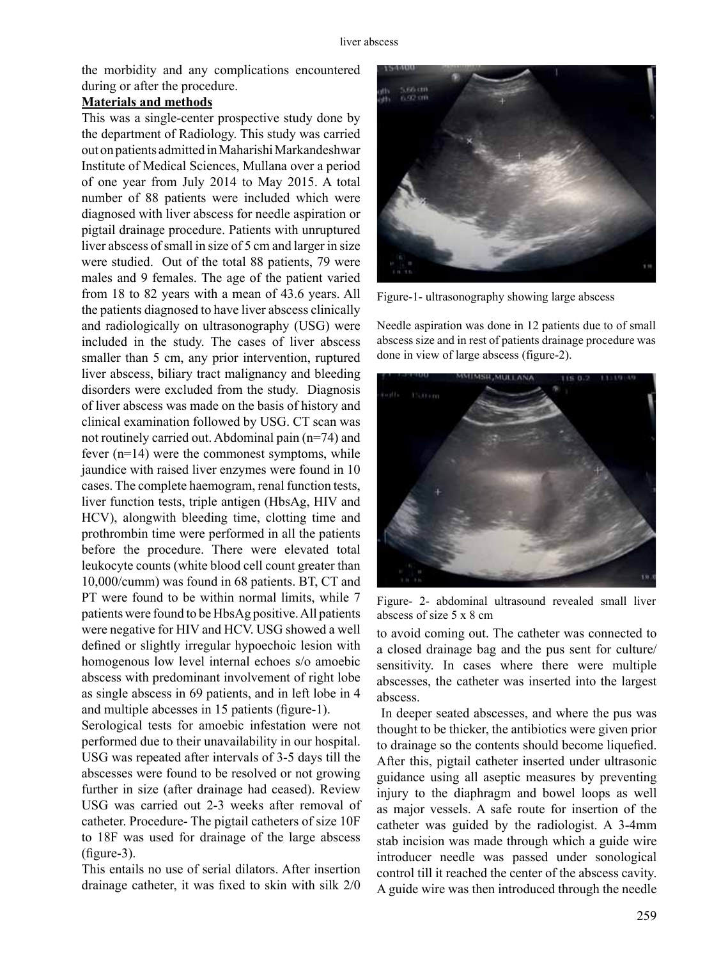the morbidity and any complications encountered during or after the procedure.

# **Materials and methods**

This was a single-center prospective study done by the department of Radiology. This study was carried out on patients admitted in Maharishi Markandeshwar Institute of Medical Sciences, Mullana over a period of one year from July 2014 to May 2015. A total number of 88 patients were included which were diagnosed with liver abscess for needle aspiration or pigtail drainage procedure. Patients with unruptured liver abscess of small in size of 5 cm and larger in size were studied. Out of the total 88 patients, 79 were males and 9 females. The age of the patient varied from 18 to 82 years with a mean of 43.6 years. All the patients diagnosed to have liver abscess clinically and radiologically on ultrasonography (USG) were included in the study. The cases of liver abscess smaller than 5 cm, any prior intervention, ruptured liver abscess, biliary tract malignancy and bleeding disorders were excluded from the study. Diagnosis of liver abscess was made on the basis of history and clinical examination followed by USG. CT scan was not routinely carried out. Abdominal pain (n=74) and fever (n=14) were the commonest symptoms, while jaundice with raised liver enzymes were found in 10 cases. The complete haemogram, renal function tests, liver function tests, triple antigen (HbsAg, HIV and HCV), alongwith bleeding time, clotting time and prothrombin time were performed in all the patients before the procedure. There were elevated total leukocyte counts (white blood cell count greater than 10,000/cumm) was found in 68 patients. BT, CT and PT were found to be within normal limits, while 7 patients were found to be HbsAg positive.All patients were negative for HIV and HCV. USG showed a well defined or slightly irregular hypoechoic lesion with homogenous low level internal echoes s/o amoebic abscess with predominant involvement of right lobe as single abscess in 69 patients, and in left lobe in 4 and multiple abcesses in 15 patients (figure-1).

Serological tests for amoebic infestation were not performed due to their unavailability in our hospital. USG was repeated after intervals of 3-5 days till the abscesses were found to be resolved or not growing further in size (after drainage had ceased). Review USG was carried out 2-3 weeks after removal of catheter. Procedure- The pigtail catheters of size 10F to 18F was used for drainage of the large abscess (figure-3).

This entails no use of serial dilators. After insertion drainage catheter, it was fixed to skin with silk 2/0



Figure-1- ultrasonography showing large abscess

Needle aspiration was done in 12 patients due to of small abscess size and in rest of patients drainage procedure was done in view of large abscess (figure-2).



Figure- 2- abdominal ultrasound revealed small liver abscess of size  $5 \times 8$  cm

to avoid coming out. The catheter was connected to a closed drainage bag and the pus sent for culture/ sensitivity. In cases where there were multiple abscesses, the catheter was inserted into the largest abscess.

In deeper seated abscesses, and where the pus was thought to be thicker, the antibiotics were given prior to drainage so the contents should become liquefied. After this, pigtail catheter inserted under ultrasonic guidance using all aseptic measures by preventing injury to the diaphragm and bowel loops as well as major vessels. A safe route for insertion of the catheter was guided by the radiologist. A 3-4mm stab incision was made through which a guide wire introducer needle was passed under sonological control till it reached the center of the abscess cavity. A guide wire was then introduced through the needle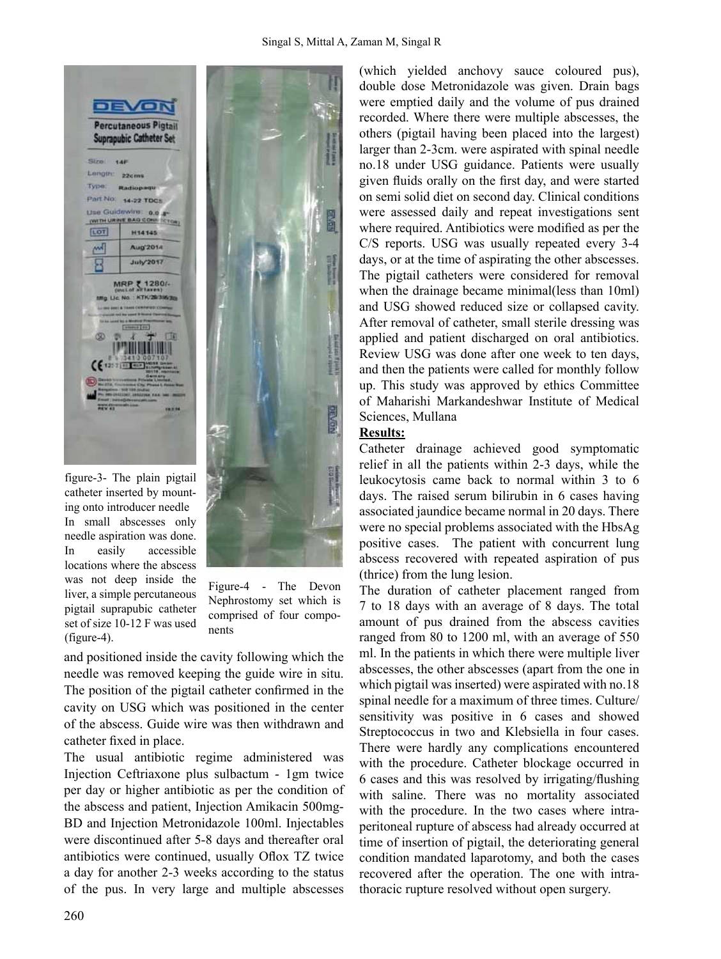

figure-3- The plain pigtail catheter inserted by mounting onto introducer needle In small abscesses only needle aspiration was done. In easily accessible locations where the abscess was not deep inside the liver, a simple percutaneous pigtail suprapubic catheter set of size 10-12 F was used  $($ figure-4 $).$ 



Figure-4 - The Devon Nephrostomy set which is comprised of four components

and positioned inside the cavity following which the needle was removed keeping the guide wire in situ. The position of the pigtail catheter confirmed in the cavity on USG which was positioned in the center of the abscess. Guide wire was then withdrawn and catheter fixed in place.

The usual antibiotic regime administered was Injection Ceftriaxone plus sulbactum - 1gm twice per day or higher antibiotic as per the condition of the abscess and patient, Injection Amikacin 500mg-BD and Injection Metronidazole 100ml. Injectables were discontinued after 5-8 days and thereafter oral antibiotics were continued, usually Oflox TZ twice a day for another 2-3 weeks according to the status of the pus. In very large and multiple abscesses (which yielded anchovy sauce coloured pus), double dose Metronidazole was given. Drain bags were emptied daily and the volume of pus drained recorded. Where there were multiple abscesses, the others (pigtail having been placed into the largest) larger than 2-3cm. were aspirated with spinal needle no.18 under USG guidance. Patients were usually given fluids orally on the first day, and were started on semi solid diet on second day. Clinical conditions were assessed daily and repeat investigations sent where required. Antibiotics were modified as per the C/S reports. USG was usually repeated every 3-4 days, or at the time of aspirating the other abscesses. The pigtail catheters were considered for removal when the drainage became minimal(less than 10ml) and USG showed reduced size or collapsed cavity. After removal of catheter, small sterile dressing was applied and patient discharged on oral antibiotics. Review USG was done after one week to ten days, and then the patients were called for monthly follow up. This study was approved by ethics Committee of Maharishi Markandeshwar Institute of Medical Sciences, Mullana

## **Results:**

Catheter drainage achieved good symptomatic relief in all the patients within 2-3 days, while the leukocytosis came back to normal within 3 to 6 days. The raised serum bilirubin in 6 cases having associated jaundice became normal in 20 days. There were no special problems associated with the HbsAg positive cases. The patient with concurrent lung abscess recovered with repeated aspiration of pus (thrice) from the lung lesion.

The duration of catheter placement ranged from 7 to 18 days with an average of 8 days. The total amount of pus drained from the abscess cavities ranged from 80 to 1200 ml, with an average of 550 ml. In the patients in which there were multiple liver abscesses, the other abscesses (apart from the one in which pigtail was inserted) were aspirated with no.18 spinal needle for a maximum of three times. Culture/ sensitivity was positive in 6 cases and showed Streptococcus in two and Klebsiella in four cases. There were hardly any complications encountered with the procedure. Catheter blockage occurred in 6 cases and this was resolved by irrigating/flushing with saline. There was no mortality associated with the procedure. In the two cases where intraperitoneal rupture of abscess had already occurred at time of insertion of pigtail, the deteriorating general condition mandated laparotomy, and both the cases recovered after the operation. The one with intrathoracic rupture resolved without open surgery.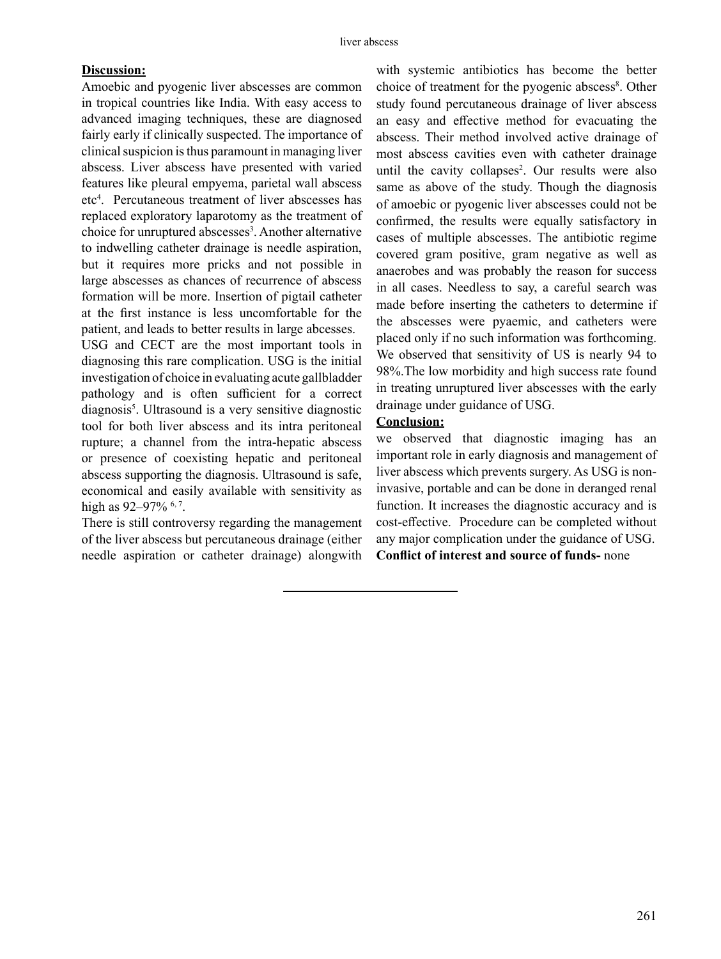#### **Discussion:**

Amoebic and pyogenic liver abscesses are common in tropical countries like India. With easy access to advanced imaging techniques, these are diagnosed fairly early if clinically suspected. The importance of clinical suspicion is thus paramount in managing liver abscess. Liver abscess have presented with varied features like pleural empyema, parietal wall abscess etc<sup>4</sup> . Percutaneous treatment of liver abscesses has replaced exploratory laparotomy as the treatment of choice for unruptured abscesses<sup>3</sup>. Another alternative to indwelling catheter drainage is needle aspiration, but it requires more pricks and not possible in large abscesses as chances of recurrence of abscess formation will be more. Insertion of pigtail catheter at the first instance is less uncomfortable for the patient, and leads to better results in large abcesses.

USG and CECT are the most important tools in diagnosing this rare complication. USG is the initial investigation of choice in evaluating acute gallbladder pathology and is often sufficient for a correct diagnosis<sup>5</sup>. Ultrasound is a very sensitive diagnostic tool for both liver abscess and its intra peritoneal rupture; a channel from the intra-hepatic abscess or presence of coexisting hepatic and peritoneal abscess supporting the diagnosis. Ultrasound is safe, economical and easily available with sensitivity as high as 92–97% <sup>6, 7</sup>.

There is still controversy regarding the management of the liver abscess but percutaneous drainage (either needle aspiration or catheter drainage) alongwith with systemic antibiotics has become the better choice of treatment for the pyogenic abscess<sup>8</sup>. Other study found percutaneous drainage of liver abscess an easy and effective method for evacuating the abscess. Their method involved active drainage of most abscess cavities even with catheter drainage until the cavity collapses<sup>2</sup>. Our results were also same as above of the study. Though the diagnosis of amoebic or pyogenic liver abscesses could not be confirmed, the results were equally satisfactory in cases of multiple abscesses. The antibiotic regime covered gram positive, gram negative as well as anaerobes and was probably the reason for success in all cases. Needless to say, a careful search was made before inserting the catheters to determine if the abscesses were pyaemic, and catheters were placed only if no such information was forthcoming. We observed that sensitivity of US is nearly 94 to 98%.The low morbidity and high success rate found in treating unruptured liver abscesses with the early drainage under guidance of USG.

# **Conclusion:**

we observed that diagnostic imaging has an important role in early diagnosis and management of liver abscess which prevents surgery. As USG is noninvasive, portable and can be done in deranged renal function. It increases the diagnostic accuracy and is cost-effective. Procedure can be completed without any major complication under the guidance of USG. **Conflict of interest and source of funds-** none